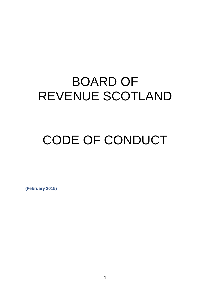## BOARD OF REVENUE SCOTLAND

# CODE OF CONDUCT

**(February 2015)**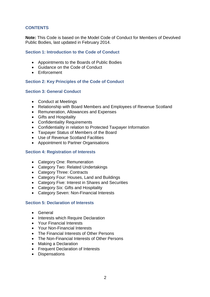## **CONTENTS**

**Note:** This Code is based on the Model Code of Conduct for Members of Devolved Public Bodies, last updated in February 2014.

#### **Section 1: Introduction to the Code of Conduct**

- Appointments to the Boards of Public Bodies
- Guidance on the Code of Conduct
- Enforcement

#### **Section 2: Key Principles of the Code of Conduct**

#### **Section 3: General Conduct**

- Conduct at Meetings
- Relationship with Board Members and Employees of Revenue Scotland
- Remuneration, Allowances and Expenses
- Gifts and Hospitality
- Confidentiality Requirements
- Confidentiality in relation to Protected Taxpayer Information
- Taxpayer Status of Members of the Board
- Use of Revenue Scotland Facilities
- Appointment to Partner Organisations

#### **Section 4: Registration of Interests**

- Category One: Remuneration
- Category Two: Related Undertakings
- Category Three: Contracts
- Category Four: Houses, Land and Buildings
- Category Five: Interest in Shares and Securities
- Category Six: Gifts and Hospitality
- Category Seven: Non-Financial Interests

#### **Section 5: Declaration of Interests**

- General
- Interests which Require Declaration
- Your Financial Interests
- Your Non-Financial Interests
- The Financial Interests of Other Persons
- The Non-Financial Interests of Other Persons
- Making a Declaration
- Frequent Declaration of Interests
- Dispensations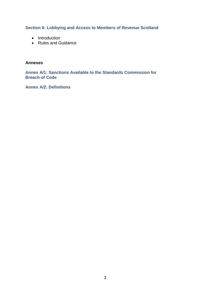## **Section 6: Lobbying and Access to Members of Revenue Scotland**

- Introduction
- Rules and Guidance

#### **Annexes**

**Annex A/1: Sanctions Available to the Standards Commission for Breach of Code** 

**Annex A/2: Definitions**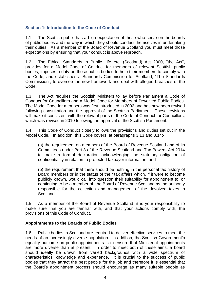## **Section 1: Introduction to the Code of Conduct**

1.1 The Scottish public has a high expectation of those who serve on the boards of public bodies and the way in which they should conduct themselves in undertaking their duties. As a member of the Board of Revenue Scotland you must meet those expectations by ensuring that your conduct is above reproach.

1.2 The Ethical Standards in Public Life etc. (Scotland) Act 2000, "the Act", provides for a Model Code of Conduct for members of relevant Scottish public bodies; imposes a duty on those public bodies to help their members to comply with the Code; and establishes a Standards Commission for Scotland, "The Standards Commission", to oversee the new framework and deal with alleged breaches of the Code.

1.3 The Act requires the Scottish Ministers to lay before Parliament a Code of Conduct for Councillors and a Model Code for Members of Devolved Public Bodies. The Model Code for members was first introduced in 2002 and has now been revised following consultation and the approval of the Scottish Parliament. These revisions will make it consistent with the relevant parts of the Code of Conduct for Councillors, which was revised in 2010 following the approval of the Scottish Parliament.

1.4 This Code of Conduct closely follows the provisions and duties set out in the Model Code. In addition, this Code covers, at paragraphs 3.13 and 3.14:-

(a) the requirement on members of the Board of Revenue Scotland and of its Committees under Part 3 of the Revenue Scotland and Tax Powers Act 2014 to make a formal declaration acknowledging the statutory obligation of confidentiality in relation to protected taxpayer information; and

(b) the requirement that there should be nothing in the personal tax history of Board members or in the status of their tax affairs which, if it were to become publicly known, would call into question their suitability for appointment to, or continuing to be a member of, the Board of Revenue Scotland as the authority responsible for the collection and management of the devolved taxes in Scotland.

1.5 As a member of the Board of Revenue Scotland, it is your responsibility to make sure that you are familiar with, and that your actions comply with, the provisions of this Code of Conduct.

#### **Appointments to the Boards of Public Bodies**

1.6 Public bodies in Scotland are required to deliver effective services to meet the needs of an increasingly diverse population. In addition, the Scottish Government's equality outcome on public appointments is to ensure that Ministerial appointments are more diverse than at present. In order to meet both of these aims, a board should ideally be drawn from varied backgrounds with a wide spectrum of characteristics, knowledge and experience. It is crucial to the success of public bodies that they attract the best people for the job and therefore it is essential that the Board's appointment process should encourage as many suitable people as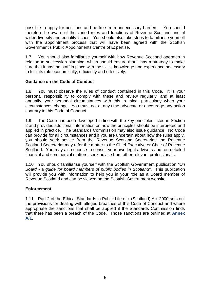possible to apply for positions and be free from unnecessary barriers. You should therefore be aware of the varied roles and functions of Revenue Scotland and of wider diversity and equality issues. You should also take steps to familiarise yourself with the appointment process that will have been agreed with the Scottish Government's Public Appointments Centre of Expertise.

1.7 You should also familiarise yourself with how Revenue Scotland operates in relation to succession planning, which should ensure that it has a strategy to make sure that it has the staff in place with the skills, knowledge and experience necessary to fulfil its role economically, efficiently and effectively.

## **Guidance on the Code of Conduct**

1.8 You must observe the rules of conduct contained in this Code. It is your personal responsibility to comply with these and review regularly, and at least annually, your personal circumstances with this in mind, particularly when your circumstances change. You must not at any time advocate or encourage any action contrary to this Code of Conduct.

1.9 The Code has been developed in line with the key principles listed in Section 2 and provides additional information on how the principles should be interpreted and applied in practice. The Standards Commission may also issue guidance. No Code can provide for all circumstances and if you are uncertain about how the rules apply, you should seek advice from the Revenue Scotland Secretariat; the Revenue Scotland Secretariat may refer the matter to the Chief Executive or Chair of Revenue Scotland. You may also choose to consult your own legal advisers and, on detailed financial and commercial matters, seek advice from other relevant professionals.

1.10 You should familiarise yourself with the Scottish Government publication *"On Board - a guide for board members of public bodies in Scotland"*. This publication will provide you with information to help you in your role as a Board member of Revenue Scotland and can be viewed on the Scottish Government website.

## **Enforcement**

1.11 Part 2 of the Ethical Standards in Public Life etc. (Scotland) Act 2000 sets out the provisions for dealing with alleged breaches of this Code of Conduct and where appropriate the sanctions that shall be applied if the Standards Commission finds that there has been a breach of the Code. Those sanctions are outlined at **Annex A/1**.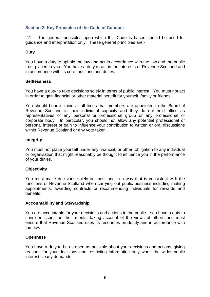## **Section 2: Key Principles of the Code of Conduct**

2.1 The general principles upon which this Code is based should be used for guidance and interpretation only. These general principles are:-

## **Duty**

You have a duty to uphold the law and act in accordance with the law and the public trust placed in you. You have a duty to act in the interests of Revenue Scotland and in accordance with its core functions and duties.

#### **Selflessness**

You have a duty to take decisions solely in terms of public interest. You must not act in order to gain financial or other material benefit for yourself, family or friends.

You should bear in mind at all times that members are appointed to the Board of Revenue Scotland in their individual capacity and they do not hold office as representatives of any personal or professional group or any professional or corporate body. In particular, you should not allow any potential professional or personal interest or gain to influence your contribution to written or oral discussions within Revenue Scotland or any vote taken.

#### **Integrity**

You must not place yourself under any financial, or other, obligation to any individual or organisation that might reasonably be thought to influence you in the performance of your duties.

#### **Objectivity**

You must make decisions solely on merit and in a way that is consistent with the functions of Revenue Scotland when carrying out public business including making appointments, awarding contracts or recommending individuals for rewards and benefits.

#### **Accountability and Stewardship**

You are accountable for your decisions and actions to the public. You have a duty to consider issues on their merits, taking account of the views of others and must ensure that Revenue Scotland uses its resources prudently and in accordance with the law.

#### **Openness**

You have a duty to be as open as possible about your decisions and actions, giving reasons for your decisions and restricting information only when the wider public interest clearly demands.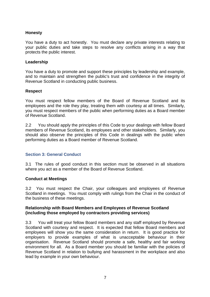#### **Honesty**

You have a duty to act honestly. You must declare any private interests relating to your public duties and take steps to resolve any conflicts arising in a way that protects the public interest.

#### **Leadership**

You have a duty to promote and support these principles by leadership and example, and to maintain and strengthen the public's trust and confidence in the integrity of Revenue Scotland in conducting public business.

#### **Respect**

You must respect fellow members of the Board of Revenue Scotland and its employees and the role they play, treating them with courtesy at all times. Similarly, you must respect members of the public when performing duties as a Board member of Revenue Scotland.

2.2 You should apply the principles of this Code to your dealings with fellow Board members of Revenue Scotland, its employees and other stakeholders. Similarly, you should also observe the principles of this Code in dealings with the public when performing duties as a Board member of Revenue Scotland.

#### **Section 3: General Conduct**

3.1 The rules of good conduct in this section must be observed in all situations where you act as a member of the Board of Revenue Scotland.

#### **Conduct at Meetings**

3.2 You must respect the Chair, your colleagues and employees of Revenue Scotland in meetings. You must comply with rulings from the Chair in the conduct of the business of these meetings.

#### **Relationship with Board Members and Employees of Revenue Scotland (including those employed by contractors providing services)**

3.3 You will treat your fellow Board members and any staff employed by Revenue Scotland with courtesy and respect. It is expected that fellow Board members and employees will show you the same consideration in return. It is good practice for employers to provide examples of what is unacceptable behaviour in their organisation. Revenue Scotland should promote a safe, healthy and fair working environment for all. As a Board member you should be familiar with the policies of Revenue Scotland in relation to bullying and harassment in the workplace and also lead by example in your own behaviour.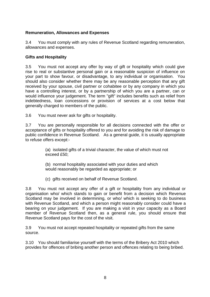#### **Remuneration, Allowances and Expenses**

3.4 You must comply with any rules of Revenue Scotland regarding remuneration, allowances and expenses.

#### **Gifts and Hospitality**

3.5 You must not accept any offer by way of gift or hospitality which could give rise to real or substantive personal gain or a reasonable suspicion of influence on your part to show favour, or disadvantage, to any individual or organisation. You should also consider whether there may be any reasonable perception that any gift received by your spouse, civil partner or cohabitee or by any company in which you have a controlling interest, or by a partnership of which you are a partner, can or would influence your judgement. The term "gift" includes benefits such as relief from indebtedness, loan concessions or provision of services at a cost below that generally charged to members of the public.

3.6 You must never ask for gifts or hospitality.

3.7 You are personally responsible for all decisions connected with the offer or acceptance of gifts or hospitality offered to you and for avoiding the risk of damage to public confidence in Revenue Scotland. As a general guide, it is usually appropriate to refuse offers except:-

> (a) isolated gifts of a trivial character, the value of which must not exceed £50;

(b) normal hospitality associated with your duties and which would reasonably be regarded as appropriate; or

(c) gifts received on behalf of Revenue Scotland.

3.8 You must not accept any offer of a gift or hospitality from any individual or organisation who/ which stands to gain or benefit from a decision which Revenue Scotland may be involved in determining, or who/ which is seeking to do business with Revenue Scotland, and which a person might reasonably consider could have a bearing on your judgement. If you are making a visit in your capacity as a Board member of Revenue Scotland then, as a general rule, you should ensure that Revenue Scotland pays for the cost of the visit.

3.9 You must not accept repeated hospitality or repeated gifts from the same source.

3.10 You should familiarise yourself with the terms of the Bribery Act 2010 which provides for offences of bribing another person and offences relating to being bribed.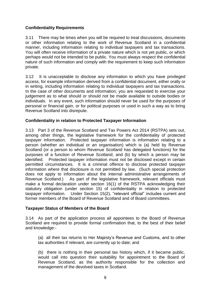## **Confidentiality Requirements**

3.11 There may be times when you will be required to treat discussions, documents or other information relating to the work of Revenue Scotland in a confidential manner, including information relating to individual taxpayers and tax transactions. You will often receive information of a private nature which is not yet public, or which perhaps would not be intended to be public. You must always respect the confidential nature of such information and comply with the requirement to keep such information private.

3.12 It is unacceptable to disclose any information to which you have privileged access, for example information derived from a confidential document, either orally or in writing, including information relating to individual taxpayers and tax transactions. In the case of other documents and information, you are requested to exercise your judgement as to what should or should not be made available to outside bodies or individuals. In any event, such information should never be used for the purposes of personal or financial gain, or for political purposes or used in such a way as to bring Revenue Scotland into disrepute.

## **Confidentiality in relation to Protected Taxpayer Information**

3.13 Part 3 of the Revenue Scotland and Tax Powers Act 2014 (RSTPA) sets out, among other things, the legislative framework for the confidentiality of protected taxpayer information. Protected taxpayer information is information relating to a person (whether an individual or an organisation) which is (a) held by Revenue Scotland (or a person to whom Revenue Scotland has delegated functions) for the purposes of a function of Revenue Scotland; and (b) by which a person may be identified. Protected taxpayer information must not be disclosed except in certain permitted circumstances. It is a criminal offence to disclose protected taxpayer information where that disclosure is not permitted by law. (Such special protection does not apply to information about the internal administrative arrangements of Revenue Scotland.) As part of the legislative framework, relevant officials must make a formal declaration under section 16(1) of the RSTPA acknowledging their statutory obligation (under section 15) of confidentiality in relation to protected taxpayer information. Under Section 15(2), "relevant official" includes current and former members of the Board of Revenue Scotland and of Board committees.

## **Taxpayer Status of Members of the Board**

3.14 As part of the application process all appointees to the Board of Revenue Scotland are required to provide formal confirmation that, to the best of their belief and knowledge:-

(a) all their tax returns to Her Majesty's Revenue and Customs, and to other tax authorities if relevant, are currently up to date; and

(b) there is nothing in their personal tax history which, if it became public, would call into question their suitability for appointment to the Board of Revenue Scotland, as the authority responsible for the collection and management of the devolved taxes in Scotland.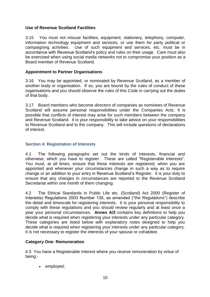## **Use of Revenue Scotland Facilities**

3.15 You must not misuse facilities, equipment, stationery, telephony, computer, information technology equipment and services, or use them for party political or campaigning activities. Use of such equipment and services, etc. must be in accordance with Revenue Scotland's policy and rules on their usage. Care must also be exercised when using social media networks not to compromise your position as a Board member of Revenue Scotland.

## **Appointment to Partner Organisations**

3.16 You may be appointed, or nominated by Revenue Scotland, as a member of another body or organisation. If so, you are bound by the rules of conduct of these organisations and you should observe the rules of this Code in carrying out the duties of that body.

3.17 Board members who become directors of companies as nominees of Revenue Scotland will assume personal responsibilities under the Companies Acts. It is possible that conflicts of interest may arise for such members between the company and Revenue Scotland. It is your responsibility to take advice on your responsibilities to Revenue Scotland and to the company. This will include questions of declarations of interest.

## **Section 4: Registration of Interests**

4.1 The following paragraphs set out the kinds of interests, financial and otherwise, which you have to register. These are called "Registerable Interests". You must, at all times, ensure that these interests are registered, when you are appointed and whenever your circumstances change in such a way as to require change or an addition to your entry in Revenue Scotland's Register. It is your duty to ensure that any changes in circumstances are reported to the Revenue Scotland Secretariat within one month of them changing.

4.2 The Ethical Standards in Public Life etc. (Scotland) Act 2000 (Register of Interests) Regulations 2003 Number 135, as amended ("the Regulations") describe the detail and timescale for registering interests. It is your personal responsibility to comply with these regulations and you should review regularly and at least once a year your personal circumstances. **Annex A/2** contains key definitions to help you decide what is required when registering your interests under any particular category. These categories are listed below with explanatory notes designed to help you decide what is required when registering your interests under any particular category. It is not necessary to register the interests of your spouse or cohabitee.

## **Category One: Remuneration**

4.3 You have a Registerable Interest where you receive remuneration by virtue of being:-

employed;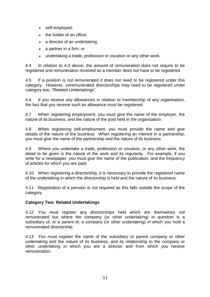- self-employed;
- the holder of an office:
- a director of an undertaking;
- a partner in a firm; or
- undertaking a trade, profession or vocation or any other work.

4.4 In relation to 4.3 above, the amount of remuneration does not require to be registered and remuneration received as a member does not have to be registered.

4.5 If a position is not remunerated it does not need to be registered under this category. However, unremunerated directorships may need to be registered under category two, "Related Undertakings".

4.6 If you receive any allowances in relation to membership of any organisation, the fact that you receive such an allowance must be registered.

4.7 When registering employment, you must give the name of the employer, the nature of its business, and the nature of the post held in the organisation.

4.8 When registering self-employment, you must provide the name and give details of the nature of the business. When registering an interest in a partnership, you must give the name of the partnership and the nature of its business.

4.9 Where you undertake a trade, profession or vocation, or any other work, the detail to be given is the nature of the work and its regularity. For example, if you write for a newspaper, you must give the name of the publication, and the frequency of articles for which you are paid.

4.10 When registering a directorship, it is necessary to provide the registered name of the undertaking in which the directorship is held and the nature of its business.

4.11 Registration of a pension is not required as this falls outside the scope of the category.

## **Category Two: Related Undertakings**

4.12 You must register any directorships held which are themselves not remunerated but where the company (or other undertaking) in question is a subsidiary of, or a parent of, a company (or other undertaking) in which you hold a remunerated directorship.

4.13 You must register the name of the subsidiary or parent company or other undertaking and the nature of its business, and its relationship to the company or other undertaking in which you are a director and from which you receive remuneration.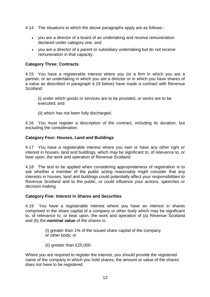- 4.14 The situations to which the above paragraphs apply are as follows:
	- you are a director of a board of an undertaking and receive remuneration declared under category one; and
	- you are a director of a parent or subsidiary undertaking but do not receive remuneration in that capacity.

#### **Category Three: Contracts**

4.15 You have a registerable interest where you (or a firm in which you are a partner, or an undertaking in which you are a director or in which you have shares of a value as described in paragraph 4.19 below) have made a contract with Revenue Scotland:

(i) under which goods or services are to be provided, or works are to be executed; and

(ii) which has not been fully discharged.

4.16 You must register a description of the contract, including its duration, but excluding the consideration.

#### **Category Four: Houses, Land and Buildings**

4.17 You have a registerable interest where you own or have any other right or interest in houses, land and buildings, which may be significant to, of relevance to, or bear upon, the work and operation of Revenue Scotland.

4.18 The test to be applied when considering appropriateness of registration is to ask whether a member of the public acting reasonably might consider that any interests in houses, land and buildings could potentially affect your responsibilities to Revenue Scotland and to the public, or could influence your actions, speeches or decision making.

#### **Category Five: Interest in Shares and Securities**

4.19 You have a registerable interest where you have an interest in shares comprised in the share capital of a company or other body which may be significant to, of relevance to, or bear upon, the work and operation of (a) Revenue Scotland and (b) the **nominal value** of the shares is:

> (i) greater than 1% of the issued share capital of the company or other body; or

(ii) greater than £25,000.

Where you are required to register the interest, you should provide the registered name of the company in which you hold shares; the amount or value of the shares does not have to be registered.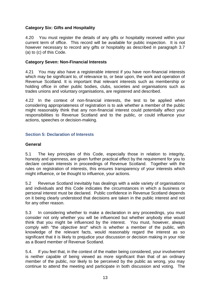## **Category Six: Gifts and Hospitality**

4.20 You must register the details of any gifts or hospitality received within your current term of office. This record will be available for public inspection. It is not however necessary to record any gifts or hospitality as described in paragraph 3.7 (a) to (c) of this Code.

#### **Category Seven: Non-Financial Interests**

4.21 You may also have a registerable interest if you have non-financial interests which may be significant to, of relevance to, or bear upon, the work and operation of Revenue Scotland. It is important that relevant interests such as membership or holding office in other public bodies, clubs, societies and organisations such as trades unions and voluntary organisations, are registered and described.

4.22 In the context of non-financial interests, the test to be applied when considering appropriateness of registration is to ask whether a member of the public might reasonably think that any non-financial interest could potentially affect your responsibilities to Revenue Scotland and to the public, or could influence your actions, speeches or decision-making.

#### **Section 5: Declaration of Interests**

#### **General**

5.1 The key principles of this Code, especially those in relation to integrity, honesty and openness, are given further practical effect by the requirement for you to declare certain interests in proceedings of Revenue Scotland. Together with the rules on registration of interests, this ensures transparency of your interests which might influence, or be thought to influence, your actions.

5.2 Revenue Scotland inevitably has dealings with a wide variety of organisations and individuals and this Code indicates the circumstances in which a business or personal interest must be declared. Public confidence in Revenue Scotland depends on it being clearly understood that decisions are taken in the public interest and not for any other reason.

5.3 In considering whether to make a declaration in any proceedings, you must consider not only whether you will be influenced but whether anybody else would think that you might be influenced by the interest. You must, however, always comply with "the *objective test*" which is whether a member of the public, with knowledge of the relevant facts, would reasonably regard the interest as so significant that it is likely to prejudice your discussion or decision making in your role as a Board member of Revenue Scotland.

5.4. If you feel that, in the context of the matter being considered, your involvement is neither capable of being viewed as more significant than that of an ordinary member of the public, nor likely to be perceived by the public as wrong, you may continue to attend the meeting and participate in both discussion and voting. The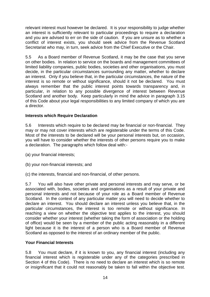relevant interest must however be declared. It is your responsibility to judge whether an interest is sufficiently relevant to particular proceedings to require a declaration and you are advised to err on the side of caution. If you are unsure as to whether a conflict of interest exists, you should seek advice from the Revenue Scotland Secretariat who may, in turn, seek advice from the Chief Executive or the Chair.

5.5 As a Board member of Revenue Scotland, it may be the case that you serve on other bodies. In relation to service on the boards and management committees of limited liability companies, public bodies, societies and other organisations, you must decide, in the particular circumstances surrounding any matter, whether to declare an interest. Only if you believe that, in the particular circumstances, the nature of the interest is so remote or without significance, should it not be declared. You must always remember that the public interest points towards transparency and, in particular, in relation to any possible divergence of interest between Revenue Scotland and another body. Keep particularly in mind the advice in paragraph 3.15 of this Code about your legal responsibilities to any limited company of which you are a director.

## **Interests which Require Declaration**

5.6 Interests which require to be declared may be financial or non-financial. They may or may not cover interests which are registerable under the terms of this Code. Most of the interests to be declared will be your personal interests but, on occasion, you will have to consider whether the interests of other persons require you to make a declaration. The paragraphs which follow deal with:-

(a) your financial interests;

(b) your non-financial interests; and

(c) the interests, financial and non-financial, of other persons.

5.7 You will also have other private and personal interests and may serve, or be associated with, bodies, societies and organisations as a result of your private and personal interests and not because of your role as a Board member of Revenue Scotland. In the context of any particular matter you will need to decide whether to declare an interest. You should declare an interest unless you believe that, in the particular circumstances, the interest is too remote or without significance. In reaching a view on whether the objective test applies to the interest, you should consider whether your interest (whether taking the form of association or the holding of office) would be seen by a member of the public acting reasonably in a different light because it is the interest of a person who is a Board member of Revenue Scotland as opposed to the interest of an ordinary member of the public.

## **Your Financial Interests**

5.8 You must declare, if it is known to you, any financial interest (including any financial interest which is registerable under any of the categories prescribed in Section 4 of this Code). There is no need to declare an interest which is so remote or insignificant that it could not reasonably be taken to fall within the objective test.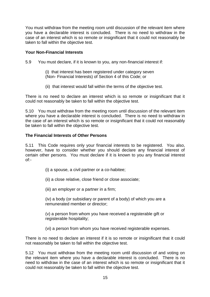You must withdraw from the meeting room until discussion of the relevant item where you have a declarable interest is concluded. There is no need to withdraw in the case of an interest which is so remote or insignificant that it could not reasonably be taken to fall within the objective test.

#### **Your Non-Financial Interests**

5.9 You must declare, if it is known to you, any non-financial interest if:

- (i) that interest has been registered under category seven (Non- Financial Interests) of Section 4 of this Code; or
- (ii) that interest would fall within the terms of the objective test.

There is no need to declare an interest which is so remote or insignificant that it could not reasonably be taken to fall within the objective test.

5.10 You must withdraw from the meeting room until discussion of the relevant item where you have a declarable interest is concluded. There is no need to withdraw in the case of an interest which is so remote or insignificant that it could not reasonably be taken to fall within the objective test.

#### **The Financial Interests of Other Persons**

5.11 This Code requires only your financial interests to be registered. You also, however, have to consider whether you should declare any financial interest of certain other persons. You must declare if it is known to you any financial interest of:-

- (i) a spouse, a civil partner or a co-habitee;
- (ii) a close relative, close friend or close associate;
- (iii) an employer or a partner in a firm;

(iv) a body (or subsidiary or parent of a body) of which you are a remunerated member or director;

(v) a person from whom you have received a registerable gift or registerable hospitality;

(vi) a person from whom you have received registerable expenses.

There is no need to declare an interest if it is so remote or insignificant that it could not reasonably be taken to fall within the objective test.

5.12 You must withdraw from the meeting room until discussion of and voting on the relevant item where you have a declarable interest is concluded. There is no need to withdraw in the case of an interest which is so remote or insignificant that it could not reasonably be taken to fall within the objective test.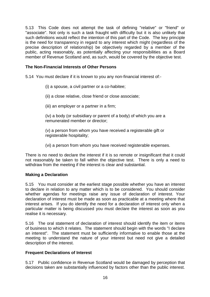5.13 This Code does not attempt the task of defining "relative" or "friend" or "associate". Not only is such a task fraught with difficulty but it is also unlikely that such definitions would reflect the intention of this part of the Code. The key principle is the need for transparency in regard to any interest which might (regardless of the precise description of relationship) be objectively regarded by a member of the public, acting reasonably, as potentially affecting your responsibilities as a Board member of Revenue Scotland and, as such, would be covered by the objective test.

## **The Non-Financial Interests of Other Persons**

5.14 You must declare if it is known to you any non-financial interest of:-

- (i) a spouse, a civil partner or a co-habitee;
- (ii) a close relative, close friend or close associate;
- (iii) an employer or a partner in a firm;

(iv) a body (or subsidiary or parent of a body) of which you are a remunerated member or director;

(v) a person from whom you have received a registerable gift or registerable hospitality;

(vi) a person from whom you have received registerable expenses.

There is no need to declare the interest if it is so remote or insignificant that it could not reasonably be taken to fall within the objective test. There is only a need to withdraw from the meeting if the interest is clear and substantial.

#### **Making a Declaration**

5.15 You must consider at the earliest stage possible whether you have an interest to declare in relation to any matter which is to be considered. You should consider whether agendas for meetings raise any issue of declaration of interest. Your declaration of interest must be made as soon as practicable at a meeting where that interest arises. If you do identify the need for a declaration of interest only when a particular matter is being discussed you must declare the interest as soon as you realise it is necessary.

5.16 The oral statement of declaration of interest should identify the item or items of business to which it relates. The statement should begin with the words "I declare an interest". The statement must be sufficiently informative to enable those at the meeting to understand the nature of your interest but need not give a detailed description of the interest.

## **Frequent Declarations of Interest**

5.17 Public confidence in Revenue Scotland would be damaged by perception that decisions taken are substantially influenced by factors other than the public interest.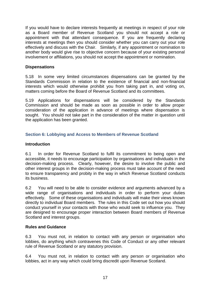If you would have to declare interests frequently at meetings in respect of your role as a Board member of Revenue Scotland you should not accept a role or appointment with that attendant consequence. If you are frequently declaring interests at meetings then you should consider whether you can carry out your role effectively and discuss with the Chair. Similarly, if any appointment or nomination to another body would give rise to objective concern because of your existing personal involvement or affiliations, you should not accept the appointment or nomination.

#### **Dispensations**

5.18 In some very limited circumstances dispensations can be granted by the Standards Commission in relation to the existence of financial and non-financial interests which would otherwise prohibit you from taking part in, and voting on, matters coming before the Board of Revenue Scotland and its committees.

5.19 Applications for dispensations will be considered by the Standards Commission and should be made as soon as possible in order to allow proper consideration of the application in advance of meetings where dispensation is sought. You should not take part in the consideration of the matter in question until the application has been granted.

## **Section 6: Lobbying and Access to Members of Revenue Scotland**

#### **Introduction**

6.1 In order for Revenue Scotland to fulfil its commitment to being open and accessible, it needs to encourage participation by organisations and individuals in the decision-making process. Clearly, however, the desire to involve the public and other interest groups in the decision-making process must take account of the need to ensure transparency and probity in the way in which Revenue Scotland conducts its business.

6.2 You will need to be able to consider evidence and arguments advanced by a wide range of organisations and individuals in order to perform your duties effectively. Some of these organisations and individuals will make their views known directly to individual Board members. The rules in this Code set out how you should conduct yourself in your contacts with those who would seek to influence you. They are designed to encourage proper interaction between Board members of Revenue Scotland and interest groups.

## **Rules and Guidance**

6.3 You must not, in relation to contact with any person or organisation who lobbies, do anything which contravenes this Code of Conduct or any other relevant rule of Revenue Scotland or any statutory provision.

6.4 You must not, in relation to contact with any person or organisation who lobbies, act in any way which could bring discredit upon Revenue Scotland.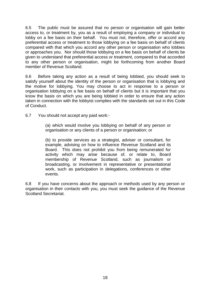6.5 The public must be assured that no person or organisation will gain better access to, or treatment by, you as a result of employing a company or individual to lobby on a fee basis on their behalf. You must not, therefore, offer or accord any preferential access or treatment to those lobbying on a fee basis on behalf of clients compared with that which you accord any other person or organisation who lobbies or approaches you. Nor should those lobbying on a fee basis on behalf of clients be given to understand that preferential access or treatment, compared to that accorded to any other person or organisation, might be forthcoming from another Board member of Revenue Scotland.

6.6 Before taking any action as a result of being lobbied, you should seek to satisfy yourself about the identity of the person or organisation that is lobbying and the motive for lobbying. You may choose to act in response to a person or organisation lobbying on a fee basis on behalf of clients but it is important that you know the basis on which you are being lobbied in order to ensure that any action taken in connection with the lobbyist complies with the standards set out in this Code of Conduct.

6.7 You should not accept any paid work:-

(a) which would involve you lobbying on behalf of any person or organisation or any clients of a person or organisation; or

(b) to provide services as a strategist, adviser or consultant, for example, advising on how to influence Revenue Scotland and its Board. This does not prohibit you from being remunerated for activity which may arise because of, or relate to, Board membership of Revenue Scotland, such as journalism or broadcasting, or involvement in representative or presentational work, such as participation in delegations, conferences or other events.

6.8 If you have concerns about the approach or methods used by any person or organisation in their contacts with you, you must seek the guidance of the Revenue Scotland Secretariat.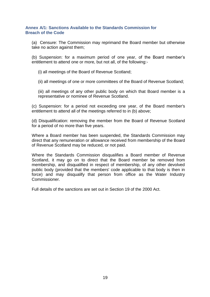#### **Annex A/1: Sanctions Available to the Standards Commission for Breach of the Code**

(a) Censure: The Commission may reprimand the Board member but otherwise take no action against them;

(b) Suspension: for a maximum period of one year, of the Board member's entitlement to attend one or more, but not all, of the following:-

(i) all meetings of the Board of Revenue Scotland;

(ii) all meetings of one or more committees of the Board of Revenue Scotland;

(iii) all meetings of any other public body on which that Board member is a representative or nominee of Revenue Scotland.

(c) Suspension: for a period not exceeding one year, of the Board member's entitlement to attend all of the meetings referred to in (b) above;

(d) Disqualification: removing the member from the Board of Revenue Scotland for a period of no more than five years.

Where a Board member has been suspended, the Standards Commission may direct that any remuneration or allowance received from membership of the Board of Revenue Scotland may be reduced, or not paid.

Where the Standards Commission disqualifies a Board member of Revenue Scotland, it may go on to direct that the Board member be removed from membership, and disqualified in respect of membership, of any other devolved public body (provided that the members' code applicable to that body is then in force) and may disqualify that person from office as the Water Industry Commissioner.

Full details of the sanctions are set out in Section 19 of the 2000 Act.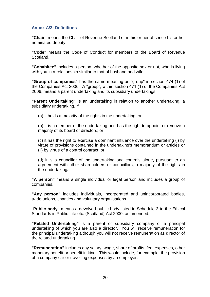#### **Annex A/2: Definitions**

**"Chair"** means the Chair of Revenue Scotland or in his or her absence his or her nominated deputy.

**"Code"** means the Code of Conduct for members of the Board of Revenue Scotland.

**"Cohabitee"** includes a person, whether of the opposite sex or not, who is living with you in a relationship similar to that of husband and wife.

**"Group of companies"** has the same meaning as "group" in section 474 (1) of the Companies Act 2006. A "group", within section 471 (1) of the Companies Act 2006, means a parent undertaking and its subsidiary undertakings.

**"Parent Undertaking"** is an undertaking in relation to another undertaking, a subsidiary undertaking, if:

(a) it holds a majority of the rights in the undertaking; or

(b) it is a member of the undertaking and has the right to appoint or remove a majority of its board of directors; or

(c) it has the right to exercise a dominant influence over the undertaking (i) by virtue of provisions contained in the undertaking's memorandum or articles or (ii) by virtue of a control contract; or

(d) it is a councillor of the undertaking and controls alone, pursuant to an agreement with other shareholders or councillors, a majority of the rights in the undertaking**.**

**"A person"** means a single individual or legal person and includes a group of companies.

**"Any person"** includes individuals, incorporated and unincorporated bodies, trade unions, charities and voluntary organisations.

"**Public body"** means a devolved public body listed in Schedule 3 to the Ethical Standards in Public Life etc. (Scotland) Act 2000, as amended.

**"Related Undertaking"** is a parent or subsidiary company of a principal undertaking of which you are also a director. You will receive remuneration for the principal undertaking although you will not receive remuneration as director of the related undertaking.

**"Remuneration"** includes any salary, wage, share of profits, fee, expenses, other monetary benefit or benefit in kind. This would include, for example, the provision of a company car or travelling expenses by an employer.